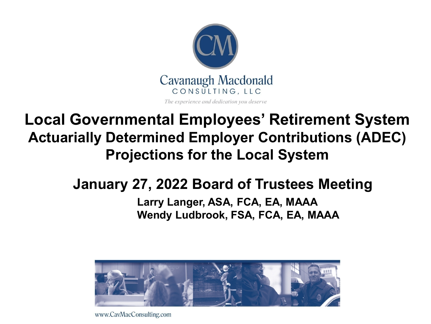

### **Local Governmental Employees' Retirement System Actuarially Determined Employer Contributions (ADEC) Projections for the Local System**

### **January 27, 2022 Board of Trustees Meeting**

#### **Larry Langer, ASA, FCA, EA, MAAA Wendy Ludbrook, FSA, FCA, EA, MAAA**



www.CavMacConsulting.com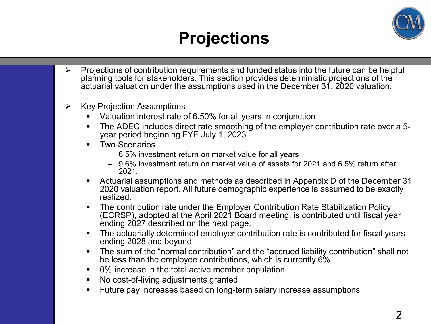

## **Projections**

- $\triangleright$  Projections of contribution requirements and funded status into the future can be helpful planning tools for stakeholders. This section provides deterministic projections of the actuarial valuation under the assumptions used in the December 31, 2020 valuation.
- $\triangleright$  Key Projection Assumptions
	- Valuation interest rate of 6.50% for all years in conjunction
	- The ADEC includes direct rate smoothing of the employer contribution rate over a 5- year period beginning FYE July 1, 2023.
	- **Two Scenarios** 
		- 6.5% investment return on market value for all years
		- 9.6% investment return on market value of assets for 2021 and 6.5% return after 2021.
	- Actuarial assumptions and methods as described in Appendix D of the December 31, 2020 valuation report. All future demographic experience is assumed to be exactly realized.
	- **The contribution rate under the Employer Contribution Rate Stabilization Policy** (ECRSP), adopted at the April 2021 Board meeting, is contributed until fiscal year ending 2027 described on the next page.
	- The actuarially determined employer contribution rate is contributed for fiscal years ending 2028 and beyond.
	- The sum of the "normal contribution" and the "accrued liability contribution" shall not be less than the employee contributions, which is currently 6%.
	- 0% increase in the total active member population
	- No cost-of-living adjustments granted
	- **Future pay increases based on long-term salary increase assumptions**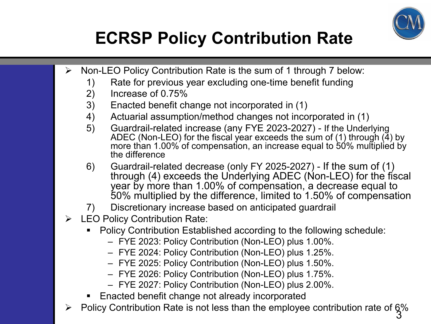

# **ECRSP Policy Contribution Rate**

- $\triangleright$  Non-LEO Policy Contribution Rate is the sum of 1 through 7 below:
	- 1) Rate for previous year excluding one-time benefit funding
	- 2) Increase of 0.75%
	- 3) Enacted benefit change not incorporated in (1)
	- 4) Actuarial assumption/method changes not incorporated in (1)
	- 5) Guardrail-related increase (any FYE 2023-2027) If the Underlying ADEC (Non-LEO) for the fiscal year exceeds the sum of (1) through  $(4)$  by more than 1.00% of compensation, an increase equal to 50% multiplied by the difference
	- 6) Guardrail-related decrease (only FY 2025-2027) If the sum of (1) through (4) exceeds the Underlying ADEC (Non-LEO) for the fiscal year by more than 1.00% of compensation, a decrease equal to 50% multiplied by the difference, limited to 1.50% of compensation
	- 7) Discretionary increase based on anticipated guardrail
- $\triangleright$  LEO Policy Contribution Rate:
	- Policy Contribution Established according to the following schedule:
		- FYE 2023: Policy Contribution (Non-LEO) plus 1.00%.
		- FYE 2024: Policy Contribution (Non-LEO) plus 1.25%.
		- FYE 2025: Policy Contribution (Non-LEO) plus 1.50%.
		- FYE 2026: Policy Contribution (Non-LEO) plus 1.75%.
		- FYE 2027: Policy Contribution (Non-LEO) plus 2.00%.
	- Enacted benefit change not already incorporated
- 3  $\triangleright$  Policy Contribution Rate is not less than the employee contribution rate of  $\frac{6}{9}$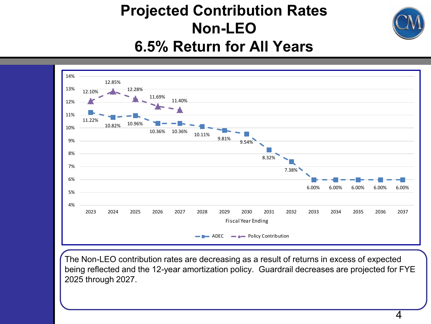### **Projected Contribution Rates Non-LEO 6.5% Return for All Years**



The Non-LEO contribution rates are decreasing as a result of returns in excess of expected being reflected and the 12-year amortization policy. Guardrail decreases are projected for FYE 2025 through 2027.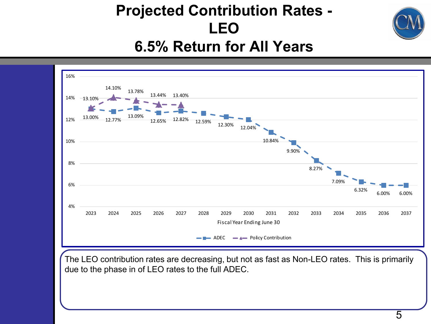### **Projected Contribution Rates - LEO 6.5% Return for All Years**



The LEO contribution rates are decreasing, but not as fast as Non-LEO rates. This is primarily due to the phase in of LEO rates to the full ADEC.

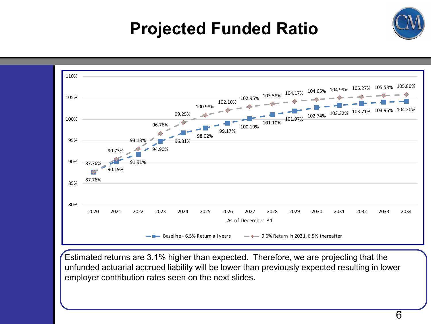# **Projected Funded Ratio**



Estimated returns are 3.1% higher than expected. Therefore, we are projecting that the unfunded actuarial accrued liability will be lower than previously expected resulting in lower employer contribution rates seen on the next slides.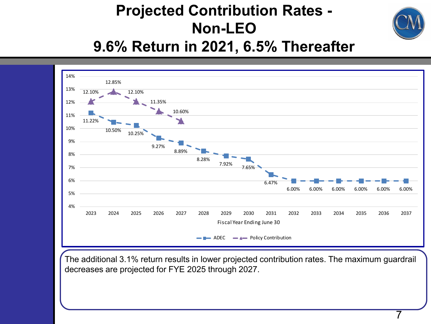### **Projected Contribution Rates - Non-LEO 9.6% Return in 2021, 6.5% Thereafter**



The additional 3.1% return results in lower projected contribution rates. The maximum guardrail decreases are projected for FYE 2025 through 2027.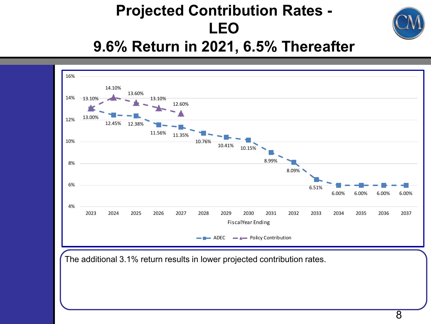### **Projected Contribution Rates - LEO 9.6% Return in 2021, 6.5% Thereafter**



The additional 3.1% return results in lower projected contribution rates.

8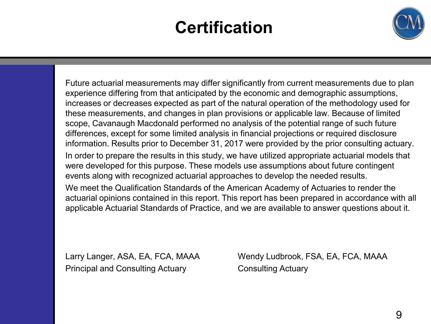# **Certification**



Future actuarial measurements may differ significantly from current measurements due to plan experience differing from that anticipated by the economic and demographic assumptions, increases or decreases expected as part of the natural operation of the methodology used for these measurements, and changes in plan provisions or applicable law. Because of limited scope, Cavanaugh Macdonald performed no analysis of the potential range of such future differences, except for some limited analysis in financial projections or required disclosure information. Results prior to December 31, 2017 were provided by the prior consulting actuary. In order to prepare the results in this study, we have utilized appropriate actuarial models that were developed for this purpose. These models use assumptions about future contingent events along with recognized actuarial approaches to develop the needed results. We meet the Qualification Standards of the American Academy of Actuaries to render the actuarial opinions contained in this report. This report has been prepared in accordance with all applicable Actuarial Standards of Practice, and we are available to answer questions about it.

Principal and Consulting Actuary Consulting Actuary

Larry Langer, ASA, EA, FCA, MAAA Wendy Ludbrook, FSA, EA, FCA, MAAA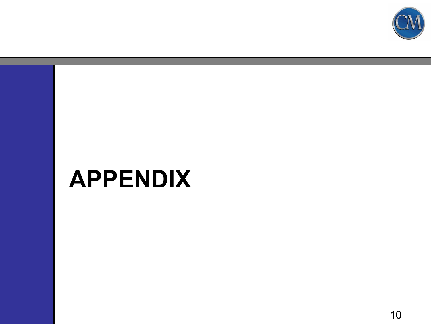

# **APPENDIX**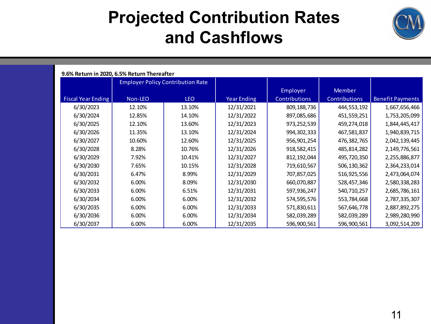### **Projected Contribution Rates and Cashflows**



| 9.6% Return in 2020, 6.5% Return Thereafter |                                          |        |                    |               |               |                         |  |  |  |  |  |
|---------------------------------------------|------------------------------------------|--------|--------------------|---------------|---------------|-------------------------|--|--|--|--|--|
|                                             | <b>Employer Policy Contribution Rate</b> |        |                    |               |               |                         |  |  |  |  |  |
|                                             |                                          |        |                    | Employer      | Member        |                         |  |  |  |  |  |
| <b>Fiscal Year Ending</b>                   | Non-LEO                                  | LEO    | <b>Year Ending</b> | Contributions | Contributions | <b>Benefit Payments</b> |  |  |  |  |  |
| 6/30/2023                                   | 12.10%                                   | 13.10% | 12/31/2021         | 809,188,736   | 444,553,192   | 1,667,656,466           |  |  |  |  |  |
| 6/30/2024                                   | 12.85%                                   | 14.10% | 12/31/2022         | 897,085,686   | 451,559,251   | 1,753,205,099           |  |  |  |  |  |
| 6/30/2025                                   | 12.10%                                   | 13.60% | 12/31/2023         | 973,252,539   | 459,274,018   | 1,844,445,417           |  |  |  |  |  |
| 6/30/2026                                   | 11.35%                                   | 13.10% | 12/31/2024         | 994,302,333   | 467,581,837   | 1,940,839,715           |  |  |  |  |  |
| 6/30/2027                                   | 10.60%                                   | 12.60% | 12/31/2025         | 956,901,254   | 476,382,765   | 2,042,139,445           |  |  |  |  |  |
| 6/30/2028                                   | 8.28%                                    | 10.76% | 12/31/2026         | 918,582,415   | 485,814,282   | 2,149,776,561           |  |  |  |  |  |
| 6/30/2029                                   | 7.92%                                    | 10.41% | 12/31/2027         | 812, 192, 044 | 495,720,350   | 2,255,886,877           |  |  |  |  |  |
| 6/30/2030                                   | 7.65%                                    | 10.15% | 12/31/2028         | 719,610,567   | 506,130,362   | 2,364,233,014           |  |  |  |  |  |
| 6/30/2031                                   | 6.47%                                    | 8.99%  | 12/31/2029         | 707,857,025   | 516,925,556   | 2,473,064,074           |  |  |  |  |  |
| 6/30/2032                                   | 6.00%                                    | 8.09%  | 12/31/2030         | 660,070,887   | 528,457,346   | 2,580,338,283           |  |  |  |  |  |
| 6/30/2033                                   | 6.00%                                    | 6.51%  | 12/31/2031         | 597,936,247   | 540,710,257   | 2,685,786,161           |  |  |  |  |  |
| 6/30/2034                                   | 6.00%                                    | 6.00%  | 12/31/2032         | 574,595,576   | 553,784,668   | 2,787,335,307           |  |  |  |  |  |
| 6/30/2035                                   | 6.00%                                    | 6.00%  | 12/31/2033         | 571,830,611   | 567,646,778   | 2,887,892,275           |  |  |  |  |  |
| 6/30/2036                                   | 6.00%                                    | 6.00%  | 12/31/2034         | 582,039,289   | 582,039,289   | 2,989,280,990           |  |  |  |  |  |
| 6/30/2037                                   | 6.00%                                    | 6.00%  | 12/31/2035         | 596,900,561   | 596,900,561   | 3,092,514,209           |  |  |  |  |  |